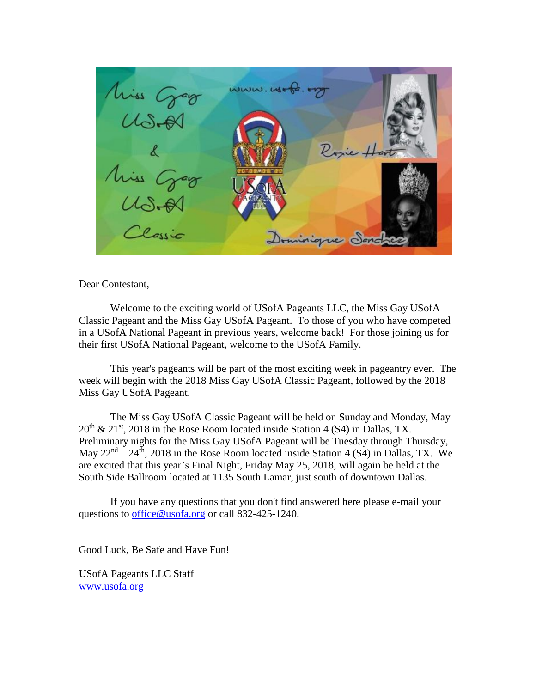$www.w6 - 62.672$ Miss Gag rie Hort Miss Grad Dominique Sand

Dear Contestant,

Welcome to the exciting world of USofA Pageants LLC, the Miss Gay USofA Classic Pageant and the Miss Gay USofA Pageant. To those of you who have competed in a USofA National Pageant in previous years, welcome back! For those joining us for their first USofA National Pageant, welcome to the USofA Family.

This year's pageants will be part of the most exciting week in pageantry ever. The week will begin with the 2018 Miss Gay USofA Classic Pageant, followed by the 2018 Miss Gay USofA Pageant.

The Miss Gay USofA Classic Pageant will be held on Sunday and Monday, May  $20<sup>th</sup>$  &  $21<sup>st</sup>$ , 2018 in the Rose Room located inside Station 4 (S4) in Dallas, TX. Preliminary nights for the Miss Gay USofA Pageant will be Tuesday through Thursday, May  $22<sup>nd</sup> - 24<sup>th</sup>$ , 2018 in the Rose Room located inside Station 4 (S4) in Dallas, TX. We are excited that this year's Final Night, Friday May 25, 2018, will again be held at the South Side Ballroom located at 1135 South Lamar, just south of downtown Dallas.

If you have any questions that you don't find answered here please e-mail your questions to *office@usofa.org* or call 832-425-1240.

Good Luck, Be Safe and Have Fun!

USofA Pageants LLC Staff [www.usofa.org](http://www.usofa.org/)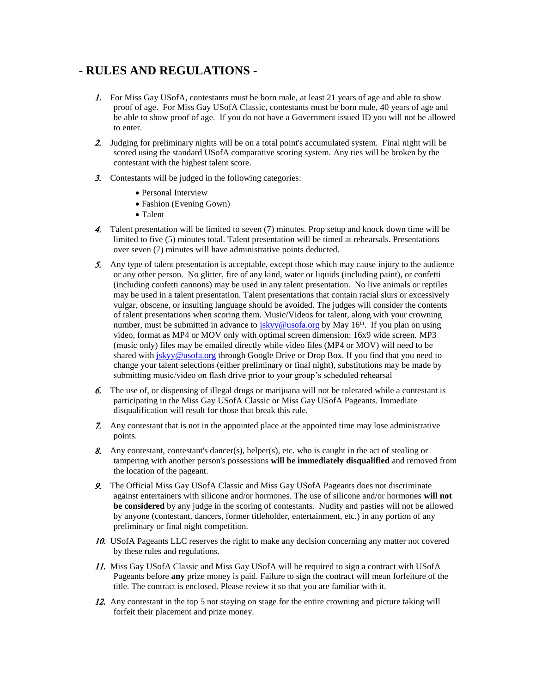## **- RULES AND REGULATIONS -**

- 1. For Miss Gay USofA, contestants must be born male, at least 21 years of age and able to show proof of age. For Miss Gay USofA Classic, contestants must be born male, 40 years of age and be able to show proof of age. If you do not have a Government issued ID you will not be allowed to enter.
- 2. Judging for preliminary nights will be on a total point's accumulated system. Final night will be scored using the standard USofA comparative scoring system. Any ties will be broken by the contestant with the highest talent score.
- 3. Contestants will be judged in the following categories:
	- Personal Interview
	- Fashion (Evening Gown)
	- Talent
- 4. Talent presentation will be limited to seven (7) minutes. Prop setup and knock down time will be limited to five (5) minutes total. Talent presentation will be timed at rehearsals. Presentations over seven (7) minutes will have administrative points deducted.
- 5. Any type of talent presentation is acceptable, except those which may cause injury to the audience or any other person. No glitter, fire of any kind, water or liquids (including paint), or confetti (including confetti cannons) may be used in any talent presentation. No live animals or reptiles may be used in a talent presentation. Talent presentations that contain racial slurs or excessively vulgar, obscene, or insulting language should be avoided. The judges will consider the contents of talent presentations when scoring them. Music/Videos for talent, along with your crowning number, must be submitted in advance to [jskyy@usofa.org](mailto:jskyy@usofa.org) by May  $16<sup>th</sup>$ . If you plan on using video, format as MP4 or MOV only with optimal screen dimension: 16x9 wide screen. MP3 (music only) files may be emailed directly while video files (MP4 or MOV) will need to be shared wit[h jskyy@usofa.org](mailto:jskyy@usofa.org) through Google Drive or Drop Box. If you find that you need to change your talent selections (either preliminary or final night), substitutions may be made by submitting music/video on flash drive prior to your group's scheduled rehearsal
- The use of, or dispensing of illegal drugs or marijuana will not be tolerated while a contestant is participating in the Miss Gay USofA Classic or Miss Gay USofA Pageants. Immediate disqualification will result for those that break this rule.
- Any contestant that is not in the appointed place at the appointed time may lose administrative points.
- Any contestant, contestant's dancer(s), helper(s), etc. who is caught in the act of stealing or tampering with another person's possessions **will be immediately disqualified** and removed from the location of the pageant.
- The Official Miss Gay USofA Classic and Miss Gay USofA Pageants does not discriminate against entertainers with silicone and/or hormones. The use of silicone and/or hormones **will not be considered** by any judge in the scoring of contestants. Nudity and pasties will not be allowed by anyone (contestant, dancers, former titleholder, entertainment, etc.) in any portion of any preliminary or final night competition.
- 10. USofA Pageants LLC reserves the right to make any decision concerning any matter not covered by these rules and regulations.
- 11. Miss Gay USofA Classic and Miss Gay USofA will be required to sign a contract with USofA Pageants before **any** prize money is paid. Failure to sign the contract will mean forfeiture of the title. The contract is enclosed. Please review it so that you are familiar with it.
- 12. Any contestant in the top 5 not staying on stage for the entire crowning and picture taking will forfeit their placement and prize money.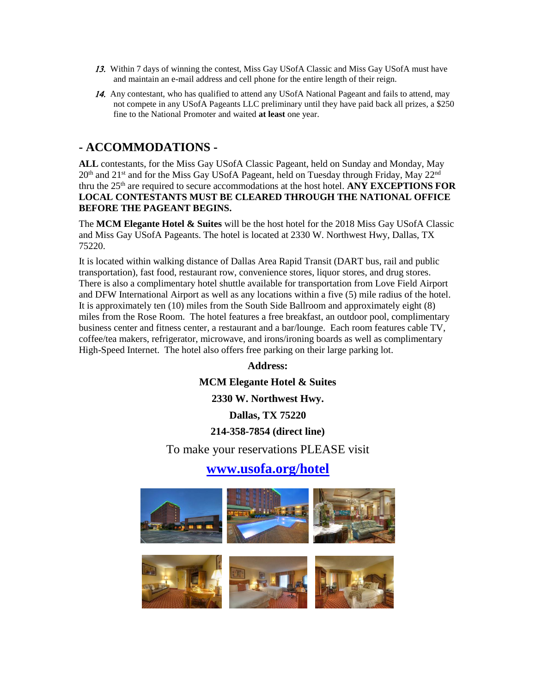- 13. Within 7 days of winning the contest, Miss Gay USofA Classic and Miss Gay USofA must have and maintain an e-mail address and cell phone for the entire length of their reign.
- 14. Any contestant, who has qualified to attend any USofA National Pageant and fails to attend, may not compete in any USofA Pageants LLC preliminary until they have paid back all prizes, a \$250 fine to the National Promoter and waited **at least** one year.

### **- ACCOMMODATIONS -**

**ALL** contestants, for the Miss Gay USofA Classic Pageant, held on Sunday and Monday, May 20<sup>th</sup> and 21<sup>st</sup> and for the Miss Gay USofA Pageant, held on Tuesday through Friday, May 22<sup>nd</sup> thru the 25<sup>th</sup> are required to secure accommodations at the host hotel. **ANY EXCEPTIONS FOR LOCAL CONTESTANTS MUST BE CLEARED THROUGH THE NATIONAL OFFICE BEFORE THE PAGEANT BEGINS.**

The **MCM Elegante Hotel & Suites** will be the host hotel for the 2018 Miss Gay USofA Classic and Miss Gay USofA Pageants. The hotel is located at 2330 W. Northwest Hwy, Dallas, TX 75220.

It is located within walking distance of Dallas Area Rapid Transit (DART bus, rail and public transportation), fast food, restaurant row, convenience stores, liquor stores, and drug stores. There is also a complimentary hotel shuttle available for transportation from Love Field Airport and DFW International Airport as well as any locations within a five (5) mile radius of the hotel. It is approximately ten (10) miles from the South Side Ballroom and approximately eight (8) miles from the Rose Room. The hotel features a free breakfast, an outdoor pool, complimentary business center and fitness center, a restaurant and a bar/lounge. Each room features cable TV, coffee/tea makers, refrigerator, microwave, and irons/ironing boards as well as complimentary High-Speed Internet. The hotel also offers free parking on their large parking lot.

> **Address: MCM Elegante Hotel & Suites 2330 W. Northwest Hwy. Dallas, TX 75220 214-358-7854 (direct line)** To make your reservations PLEASE visit **[www.usofa.org/hotel](http://www.usofa.org/hotel)**

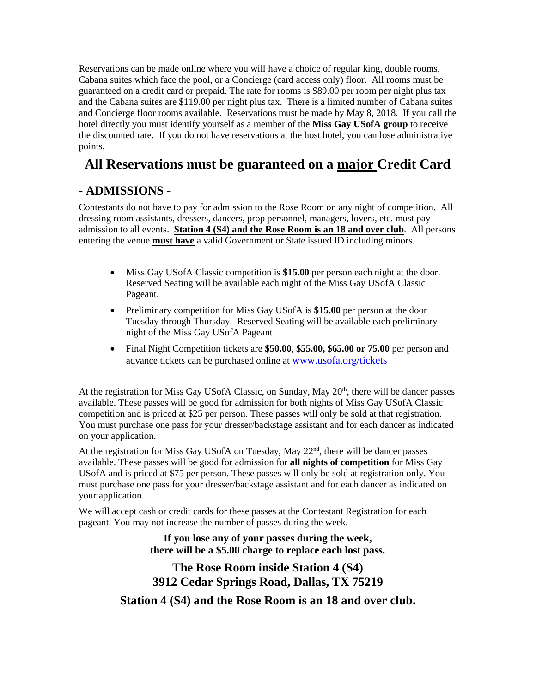Reservations can be made online where you will have a choice of regular king, double rooms, Cabana suites which face the pool, or a Concierge (card access only) floor. All rooms must be guaranteed on a credit card or prepaid. The rate for rooms is \$89.00 per room per night plus tax and the Cabana suites are \$119.00 per night plus tax. There is a limited number of Cabana suites and Concierge floor rooms available. Reservations must be made by May 8, 2018. If you call the hotel directly you must identify yourself as a member of the **Miss Gay USofA group** to receive the discounted rate. If you do not have reservations at the host hotel, you can lose administrative points.

# **All Reservations must be guaranteed on a major Credit Card**

## **- ADMISSIONS -**

Contestants do not have to pay for admission to the Rose Room on any night of competition. All dressing room assistants, dressers, dancers, prop personnel, managers, lovers, etc. must pay admission to all events. **Station 4 (S4) and the Rose Room is an 18 and over club**. All persons entering the venue **must have** a valid Government or State issued ID including minors.

- Miss Gay USofA Classic competition is **\$15.00** per person each night at the door. Reserved Seating will be available each night of the Miss Gay USofA Classic Pageant.
- Preliminary competition for Miss Gay USofA is **\$15.00** per person at the door Tuesday through Thursday. Reserved Seating will be available each preliminary night of the Miss Gay USofA Pageant
- Final Night Competition tickets are **\$50.00**, **\$55.00, \$65.00 or 75.00** per person and advance tickets can be purchased online at [www.usofa.org/tickets](http://www.usofa.org/tickets)

At the registration for Miss Gay USofA Classic, on Sunday, May 20<sup>th</sup>, there will be dancer passes available. These passes will be good for admission for both nights of Miss Gay USofA Classic competition and is priced at \$25 per person. These passes will only be sold at that registration. You must purchase one pass for your dresser/backstage assistant and for each dancer as indicated on your application.

At the registration for Miss Gay USofA on Tuesday, May 22<sup>nd</sup>, there will be dancer passes available. These passes will be good for admission for **all nights of competition** for Miss Gay USofA and is priced at \$75 per person. These passes will only be sold at registration only. You must purchase one pass for your dresser/backstage assistant and for each dancer as indicated on your application.

We will accept cash or credit cards for these passes at the Contestant Registration for each pageant. You may not increase the number of passes during the week.

> **If you lose any of your passes during the week, there will be a \$5.00 charge to replace each lost pass.**

# **The Rose Room inside Station 4 (S4) 3912 Cedar Springs Road, Dallas, TX 75219 Station 4 (S4) and the Rose Room is an 18 and over club.**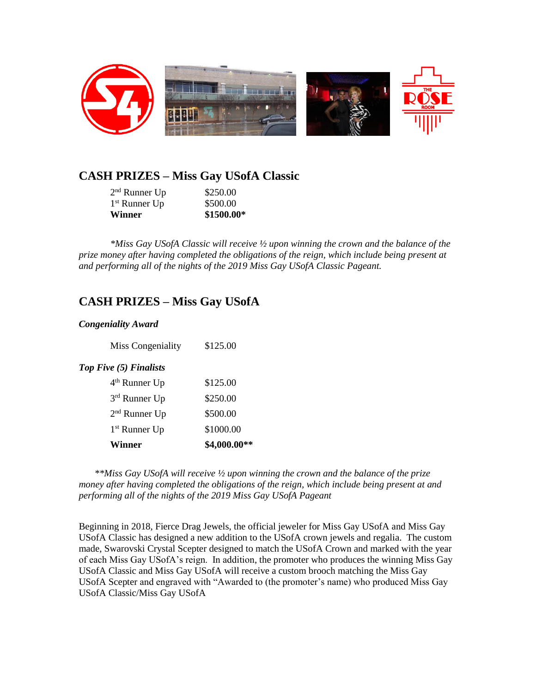

## **CASH PRIZES – Miss Gay USofA Classic**

| <b>Winner</b>   | \$1500.00* |
|-----------------|------------|
| $1st$ Runner Up | \$500.00   |
| $2nd$ Runner Up | \$250.00   |

*\*Miss Gay USofA Classic will receive ½ upon winning the crown and the balance of the prize money after having completed the obligations of the reign, which include being present at and performing all of the nights of the 2019 Miss Gay USofA Classic Pageant.*

## **CASH PRIZES – Miss Gay USofA**

#### *Congeniality Award*

| Winner                    | \$4,000.00** |
|---------------------------|--------------|
| 1 <sup>st</sup> Runner Up | \$1000.00    |
| $2nd$ Runner Up           | \$500.00     |
| 3rd Runner Up             | \$250.00     |
| $4th$ Runner Up           | \$125.00     |
| Top Five (5) Finalists    |              |
| Miss Congeniality         | \$125.00     |

*\*\*Miss Gay USofA will receive ½ upon winning the crown and the balance of the prize money after having completed the obligations of the reign, which include being present at and performing all of the nights of the 2019 Miss Gay USofA Pageant*

Beginning in 2018, Fierce Drag Jewels, the official jeweler for Miss Gay USofA and Miss Gay USofA Classic has designed a new addition to the USofA crown jewels and regalia. The custom made, Swarovski Crystal Scepter designed to match the USofA Crown and marked with the year of each Miss Gay USofA's reign. In addition, the promoter who produces the winning Miss Gay USofA Classic and Miss Gay USofA will receive a custom brooch matching the Miss Gay USofA Scepter and engraved with "Awarded to (the promoter's name) who produced Miss Gay USofA Classic/Miss Gay USofA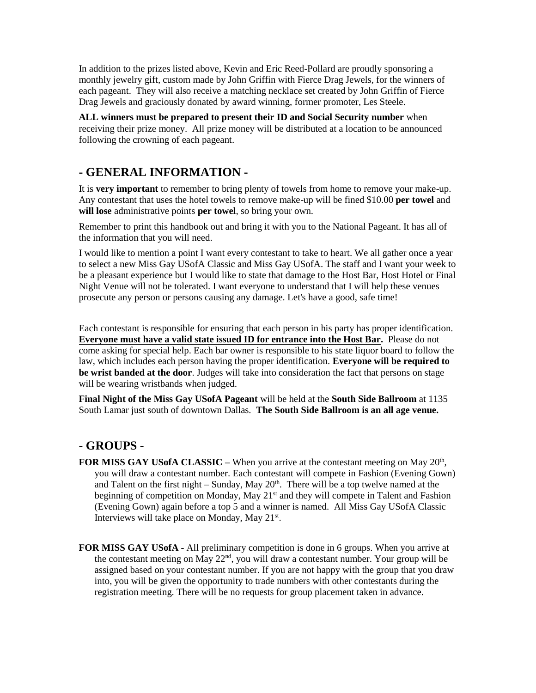In addition to the prizes listed above, Kevin and Eric Reed-Pollard are proudly sponsoring a monthly jewelry gift, custom made by John Griffin with Fierce Drag Jewels, for the winners of each pageant. They will also receive a matching necklace set created by John Griffin of Fierce Drag Jewels and graciously donated by award winning, former promoter, Les Steele.

**ALL winners must be prepared to present their ID and Social Security number** when receiving their prize money. All prize money will be distributed at a location to be announced following the crowning of each pageant.

## **- GENERAL INFORMATION -**

It is **very important** to remember to bring plenty of towels from home to remove your make-up. Any contestant that uses the hotel towels to remove make-up will be fined \$10.00 **per towel** and **will lose** administrative points **per towel**, so bring your own.

Remember to print this handbook out and bring it with you to the National Pageant. It has all of the information that you will need.

I would like to mention a point I want every contestant to take to heart. We all gather once a year to select a new Miss Gay USofA Classic and Miss Gay USofA. The staff and I want your week to be a pleasant experience but I would like to state that damage to the Host Bar, Host Hotel or Final Night Venue will not be tolerated. I want everyone to understand that I will help these venues prosecute any person or persons causing any damage. Let's have a good, safe time!

Each contestant is responsible for ensuring that each person in his party has proper identification. **Everyone must have a valid state issued ID for entrance into the Host Bar.** Please do not come asking for special help. Each bar owner is responsible to his state liquor board to follow the law, which includes each person having the proper identification. **Everyone will be required to be wrist banded at the door**. Judges will take into consideration the fact that persons on stage will be wearing wristbands when judged.

**Final Night of the Miss Gay USofA Pageant** will be held at the **South Side Ballroom** at 1135 South Lamar just south of downtown Dallas. **The South Side Ballroom is an all age venue.**

## **- GROUPS -**

- **FOR MISS GAY US of A CLASSIC When you arrive at the contestant meeting on May 20<sup>th</sup>,** you will draw a contestant number. Each contestant will compete in Fashion (Evening Gown) and Talent on the first night – Sunday, May  $20<sup>th</sup>$ . There will be a top twelve named at the beginning of competition on Monday, May 21<sup>st</sup> and they will compete in Talent and Fashion (Evening Gown) again before a top 5 and a winner is named. All Miss Gay USofA Classic Interviews will take place on Monday, May 21<sup>st</sup>.
- **FOR MISS GAY USofA -** All preliminary competition is done in 6 groups. When you arrive at the contestant meeting on May 22<sup>nd</sup>, you will draw a contestant number. Your group will be assigned based on your contestant number. If you are not happy with the group that you draw into, you will be given the opportunity to trade numbers with other contestants during the registration meeting. There will be no requests for group placement taken in advance.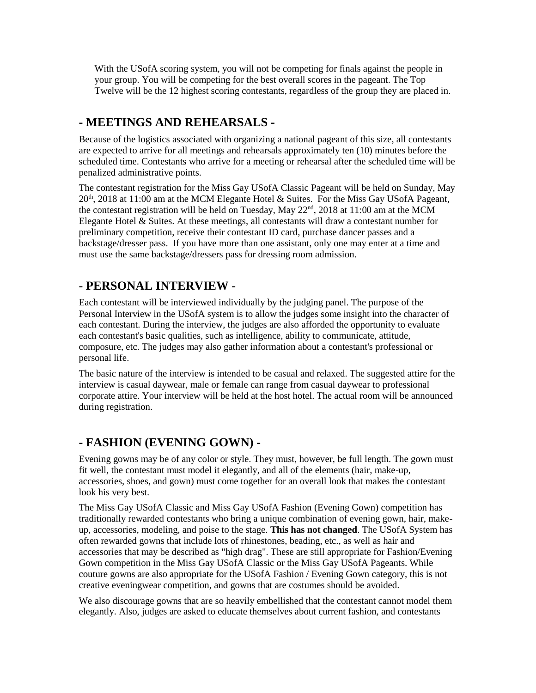With the USofA scoring system, you will not be competing for finals against the people in your group. You will be competing for the best overall scores in the pageant. The Top Twelve will be the 12 highest scoring contestants, regardless of the group they are placed in.

## **- MEETINGS AND REHEARSALS -**

Because of the logistics associated with organizing a national pageant of this size, all contestants are expected to arrive for all meetings and rehearsals approximately ten (10) minutes before the scheduled time. Contestants who arrive for a meeting or rehearsal after the scheduled time will be penalized administrative points.

The contestant registration for the Miss Gay USofA Classic Pageant will be held on Sunday, May 20<sup>th</sup>, 2018 at 11:00 am at the MCM Elegante Hotel & Suites. For the Miss Gay USofA Pageant, the contestant registration will be held on Tuesday, May  $22<sup>nd</sup>$ , 2018 at 11:00 am at the MCM Elegante Hotel & Suites. At these meetings, all contestants will draw a contestant number for preliminary competition, receive their contestant ID card, purchase dancer passes and a backstage/dresser pass. If you have more than one assistant, only one may enter at a time and must use the same backstage/dressers pass for dressing room admission.

## **- PERSONAL INTERVIEW -**

Each contestant will be interviewed individually by the judging panel. The purpose of the Personal Interview in the USofA system is to allow the judges some insight into the character of each contestant. During the interview, the judges are also afforded the opportunity to evaluate each contestant's basic qualities, such as intelligence, ability to communicate, attitude, composure, etc. The judges may also gather information about a contestant's professional or personal life.

The basic nature of the interview is intended to be casual and relaxed. The suggested attire for the interview is casual daywear, male or female can range from casual daywear to professional corporate attire. Your interview will be held at the host hotel. The actual room will be announced during registration.

# **- FASHION (EVENING GOWN) -**

Evening gowns may be of any color or style. They must, however, be full length. The gown must fit well, the contestant must model it elegantly, and all of the elements (hair, make-up, accessories, shoes, and gown) must come together for an overall look that makes the contestant look his very best.

The Miss Gay USofA Classic and Miss Gay USofA Fashion (Evening Gown) competition has traditionally rewarded contestants who bring a unique combination of evening gown, hair, makeup, accessories, modeling, and poise to the stage. **This has not changed**. The USofA System has often rewarded gowns that include lots of rhinestones, beading, etc., as well as hair and accessories that may be described as "high drag". These are still appropriate for Fashion/Evening Gown competition in the Miss Gay USofA Classic or the Miss Gay USofA Pageants. While couture gowns are also appropriate for the USofA Fashion / Evening Gown category, this is not creative eveningwear competition, and gowns that are costumes should be avoided.

We also discourage gowns that are so heavily embellished that the contestant cannot model them elegantly. Also, judges are asked to educate themselves about current fashion, and contestants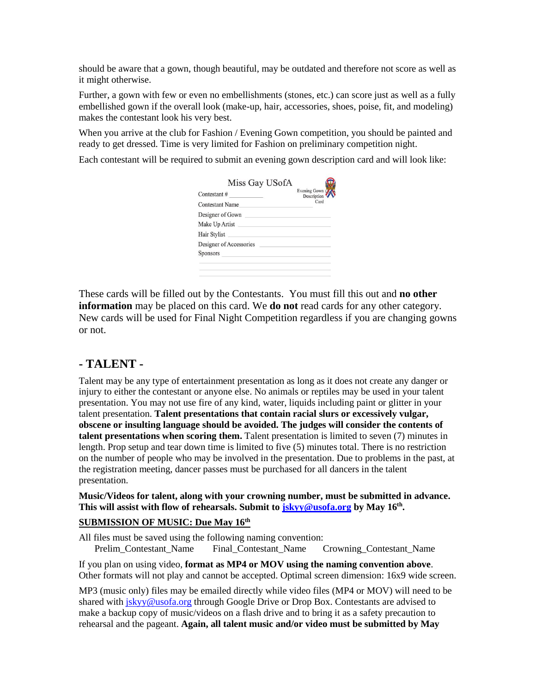should be aware that a gown, though beautiful, may be outdated and therefore not score as well as it might otherwise.

Further, a gown with few or even no embellishments (stones, etc.) can score just as well as a fully embellished gown if the overall look (make-up, hair, accessories, shoes, poise, fit, and modeling) makes the contestant look his very best.

When you arrive at the club for Fashion / Evening Gown competition, you should be painted and ready to get dressed. Time is very limited for Fashion on preliminary competition night.

Each contestant will be required to submit an evening gown description card and will look like:

| Contestant#             | Evening Gown (<br>Description |
|-------------------------|-------------------------------|
| <b>Contestant Name</b>  | Card                          |
| Designer of Gown        |                               |
| Make Up Artist          |                               |
| <b>Hair Stylist</b>     |                               |
| Designer of Accessories |                               |
| <b>Sponsors</b>         |                               |

These cards will be filled out by the Contestants. You must fill this out and **no other information** may be placed on this card. We **do not** read cards for any other category. New cards will be used for Final Night Competition regardless if you are changing gowns or not.

## **- TALENT -**

Talent may be any type of entertainment presentation as long as it does not create any danger or injury to either the contestant or anyone else. No animals or reptiles may be used in your talent presentation. You may not use fire of any kind, water, liquids including paint or glitter in your talent presentation. **Talent presentations that contain racial slurs or excessively vulgar, obscene or insulting language should be avoided. The judges will consider the contents of talent presentations when scoring them.** Talent presentation is limited to seven (7) minutes in length. Prop setup and tear down time is limited to five (5) minutes total. There is no restriction on the number of people who may be involved in the presentation. Due to problems in the past, at the registration meeting, dancer passes must be purchased for all dancers in the talent presentation.

**Music/Videos for talent, along with your crowning number, must be submitted in advance. This will assist with flow of rehearsals. Submit to [jskyy@usofa.org](mailto:jskyy@usofa.org) by May 16th .**

### **SUBMISSION OF MUSIC: Due May 16th**

All files must be saved using the following naming convention: Prelim\_Contestant\_Name Final\_Contestant\_Name Crowning\_Contestant\_Name

If you plan on using video, **format as MP4 or MOV using the naming convention above**. Other formats will not play and cannot be accepted. Optimal screen dimension: 16x9 wide screen.

MP3 (music only) files may be emailed directly while video files (MP4 or MOV) will need to be shared with *jskyy@usofa.org* through Google Drive or Drop Box. Contestants are advised to make a backup copy of music/videos on a flash drive and to bring it as a safety precaution to rehearsal and the pageant. **Again, all talent music and/or video must be submitted by May**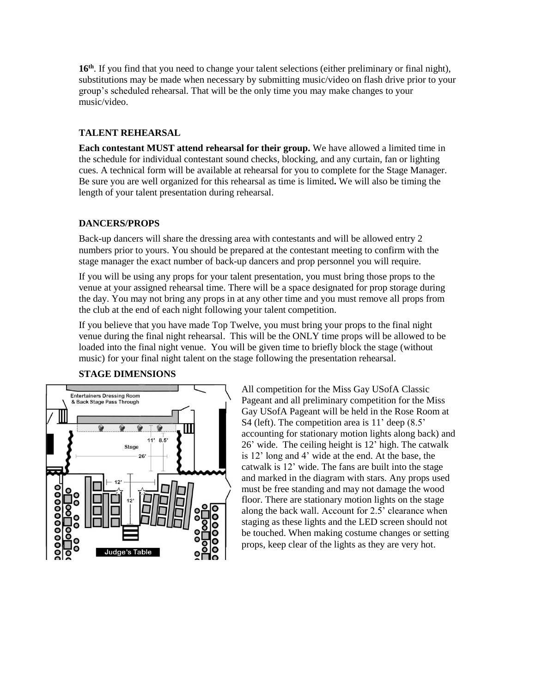16<sup>th</sup>. If you find that you need to change your talent selections (either preliminary or final night), substitutions may be made when necessary by submitting music/video on flash drive prior to your group's scheduled rehearsal. That will be the only time you may make changes to your music/video.

### **TALENT REHEARSAL**

**Each contestant MUST attend rehearsal for their group.** We have allowed a limited time in the schedule for individual contestant sound checks, blocking, and any curtain, fan or lighting cues. A technical form will be available at rehearsal for you to complete for the Stage Manager. Be sure you are well organized for this rehearsal as time is limited**.** We will also be timing the length of your talent presentation during rehearsal.

#### **DANCERS/PROPS**

Back-up dancers will share the dressing area with contestants and will be allowed entry 2 numbers prior to yours. You should be prepared at the contestant meeting to confirm with the stage manager the exact number of back-up dancers and prop personnel you will require.

If you will be using any props for your talent presentation, you must bring those props to the venue at your assigned rehearsal time. There will be a space designated for prop storage during the day. You may not bring any props in at any other time and you must remove all props from the club at the end of each night following your talent competition.

If you believe that you have made Top Twelve, you must bring your props to the final night venue during the final night rehearsal. This will be the ONLY time props will be allowed to be loaded into the final night venue. You will be given time to briefly block the stage (without music) for your final night talent on the stage following the presentation rehearsal.



#### **STAGE DIMENSIONS**

All competition for the Miss Gay USofA Classic Pageant and all preliminary competition for the Miss Gay USofA Pageant will be held in the Rose Room at S4 (left). The competition area is 11' deep (8.5' accounting for stationary motion lights along back) and 26' wide. The ceiling height is 12' high. The catwalk is 12' long and 4' wide at the end. At the base, the catwalk is 12' wide. The fans are built into the stage and marked in the diagram with stars. Any props used must be free standing and may not damage the wood floor. There are stationary motion lights on the stage along the back wall. Account for 2.5' clearance when staging as these lights and the LED screen should not be touched. When making costume changes or setting props, keep clear of the lights as they are very hot.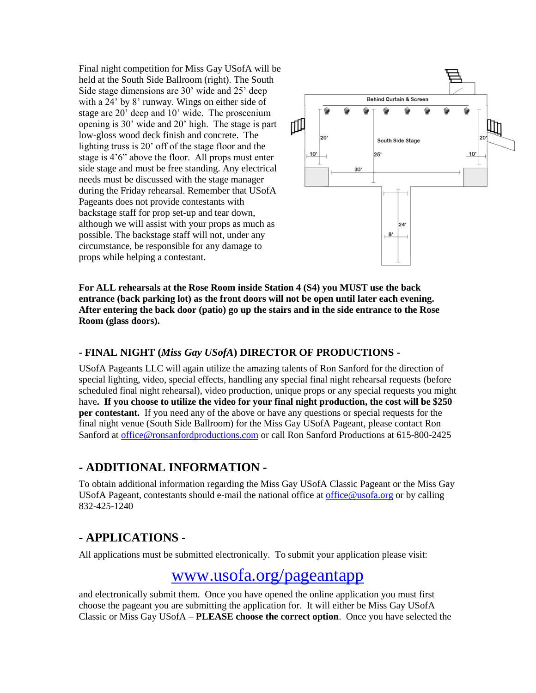Final night competition for Miss Gay USofA will be held at the South Side Ballroom (right). The South Side stage dimensions are 30' wide and 25' deep with a 24' by 8' runway. Wings on either side of stage are 20' deep and 10' wide. The proscenium opening is 30' wide and 20' high. The stage is part low-gloss wood deck finish and concrete. The lighting truss is 20' off of the stage floor and the stage is 4'6" above the floor. All props must enter side stage and must be free standing. Any electrical needs must be discussed with the stage manager during the Friday rehearsal. Remember that USofA Pageants does not provide contestants with backstage staff for prop set-up and tear down, although we will assist with your props as much as possible. The backstage staff will not, under any circumstance, be responsible for any damage to props while helping a contestant.



**For ALL rehearsals at the Rose Room inside Station 4 (S4) you MUST use the back entrance (back parking lot) as the front doors will not be open until later each evening. After entering the back door (patio) go up the stairs and in the side entrance to the Rose Room (glass doors).**

### **- FINAL NIGHT (***Miss Gay USofA***) DIRECTOR OF PRODUCTIONS -**

USofA Pageants LLC will again utilize the amazing talents of Ron Sanford for the direction of special lighting, video, special effects, handling any special final night rehearsal requests (before scheduled final night rehearsal), video production, unique props or any special requests you might have**. If you choose to utilize the video for your final night production, the cost will be \$250 per contestant.** If you need any of the above or have any questions or special requests for the final night venue (South Side Ballroom) for the Miss Gay USofA Pageant, please contact Ron Sanford at [office@ronsanfordproductions.com](mailto:office@ronsanfordproductions.com) or call Ron Sanford Productions at 615-800-2425

## **- ADDITIONAL INFORMATION -**

To obtain additional information regarding the Miss Gay USofA Classic Pageant or the Miss Gay USofA Pageant, contestants should e-mail the national office at office  $@$ usofa.org or by calling 832-425-1240

## **- APPLICATIONS -**

All applications must be submitted electronically. To submit your application please visit:

# [www.usofa.org/pageantapp](../../2016%20Miss%20Gay%20USofA%20and%20Miss%20Gay%20USofA%20Classic/www.usofa.org/pageantapp)

and electronically submit them. Once you have opened the online application you must first choose the pageant you are submitting the application for. It will either be Miss Gay USofA Classic or Miss Gay USofA – **PLEASE choose the correct option**. Once you have selected the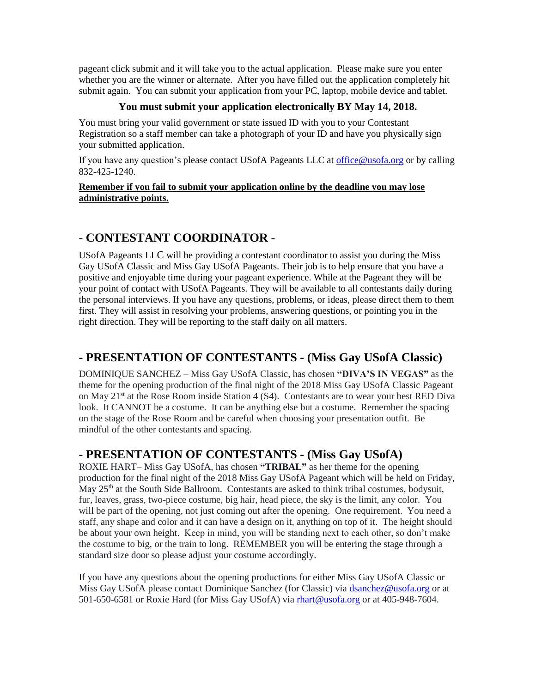pageant click submit and it will take you to the actual application. Please make sure you enter whether you are the winner or alternate. After you have filled out the application completely hit submit again. You can submit your application from your PC, laptop, mobile device and tablet.

### **You must submit your application electronically BY May 14, 2018.**

You must bring your valid government or state issued ID with you to your Contestant Registration so a staff member can take a photograph of your ID and have you physically sign your submitted application.

If you have any question's please contact USofA Pageants LLC at [office@usofa.org](mailto:office@usofa.org) or by calling 832-425-1240.

#### **Remember if you fail to submit your application online by the deadline you may lose administrative points.**

## **- CONTESTANT COORDINATOR -**

USofA Pageants LLC will be providing a contestant coordinator to assist you during the Miss Gay USofA Classic and Miss Gay USofA Pageants. Their job is to help ensure that you have a positive and enjoyable time during your pageant experience. While at the Pageant they will be your point of contact with USofA Pageants. They will be available to all contestants daily during the personal interviews. If you have any questions, problems, or ideas, please direct them to them first. They will assist in resolving your problems, answering questions, or pointing you in the right direction. They will be reporting to the staff daily on all matters.

# **- PRESENTATION OF CONTESTANTS - (Miss Gay USofA Classic)**

DOMINIQUE SANCHEZ – Miss Gay USofA Classic, has chosen **"DIVA'S IN VEGAS"** as the theme for the opening production of the final night of the 2018 Miss Gay USofA Classic Pageant on May 21<sup>st</sup> at the Rose Room inside Station 4 (S4). Contestants are to wear your best RED Diva look. It CANNOT be a costume. It can be anything else but a costume. Remember the spacing on the stage of the Rose Room and be careful when choosing your presentation outfit. Be mindful of the other contestants and spacing.

# - **PRESENTATION OF CONTESTANTS - (Miss Gay USofA)**

ROXIE HART– Miss Gay USofA, has chosen **"TRIBAL"** as her theme for the opening production for the final night of the 2018 Miss Gay USofA Pageant which will be held on Friday, May  $25<sup>th</sup>$  at the South Side Ballroom. Contestants are asked to think tribal costumes, bodysuit, fur, leaves, grass, two-piece costume, big hair, head piece, the sky is the limit, any color. You will be part of the opening, not just coming out after the opening. One requirement. You need a staff, any shape and color and it can have a design on it, anything on top of it. The height should be about your own height. Keep in mind, you will be standing next to each other, so don't make the costume to big, or the train to long. REMEMBER you will be entering the stage through a standard size door so please adjust your costume accordingly.

If you have any questions about the opening productions for either Miss Gay USofA Classic or Miss Gay USofA please contact Dominique Sanchez (for Classic) via [dsanchez@usofa.org](mailto:dsanchez@usofa.org) or at 501-650-6581 or Roxie Hard (for Miss Gay USofA) via [rhart@usofa.org](mailto:rhart@usofa.org) or at 405-948-7604.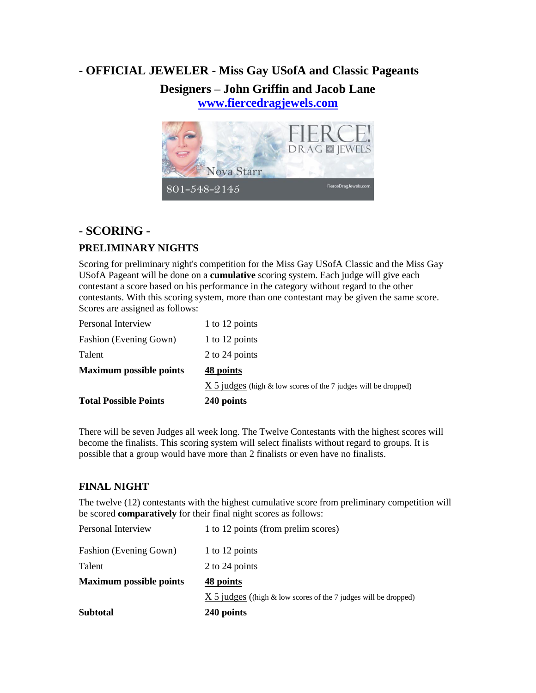# **- OFFICIAL JEWELER - Miss Gay USofA and Classic Pageants**

## **Designers – John Griffin and Jacob Lane [www.fiercedragjewels.com](http://www.fiercedragjewels.com/)**



### **- SCORING -**

## **PRELIMINARY NIGHTS**

Scoring for preliminary night's competition for the Miss Gay USofA Classic and the Miss Gay USofA Pageant will be done on a **cumulative** scoring system. Each judge will give each contestant a score based on his performance in the category without regard to the other contestants. With this scoring system, more than one contestant may be given the same score. Scores are assigned as follows:

| <b>Total Possible Points</b>   | 240 points                                                          |
|--------------------------------|---------------------------------------------------------------------|
|                                | $X$ 5 judges (high $\&$ low scores of the 7 judges will be dropped) |
| <b>Maximum possible points</b> | 48 points                                                           |
| Talent                         | 2 to 24 points                                                      |
| <b>Fashion (Evening Gown)</b>  | 1 to 12 points                                                      |
| Personal Interview             | 1 to 12 points                                                      |

There will be seven Judges all week long. The Twelve Contestants with the highest scores will become the finalists. This scoring system will select finalists without regard to groups. It is possible that a group would have more than 2 finalists or even have no finalists.

### **FINAL NIGHT**

The twelve (12) contestants with the highest cumulative score from preliminary competition will be scored **comparatively** for their final night scores as follows:

| <b>Subtotal</b>                | 240 points                                                      |
|--------------------------------|-----------------------------------------------------------------|
|                                | X 5 judges ((high & low scores of the 7 judges will be dropped) |
| <b>Maximum possible points</b> | 48 points                                                       |
| Talent                         | 2 to 24 points                                                  |
| Fashion (Evening Gown)         | 1 to 12 points                                                  |
| Personal Interview             | 1 to 12 points (from prelim scores)                             |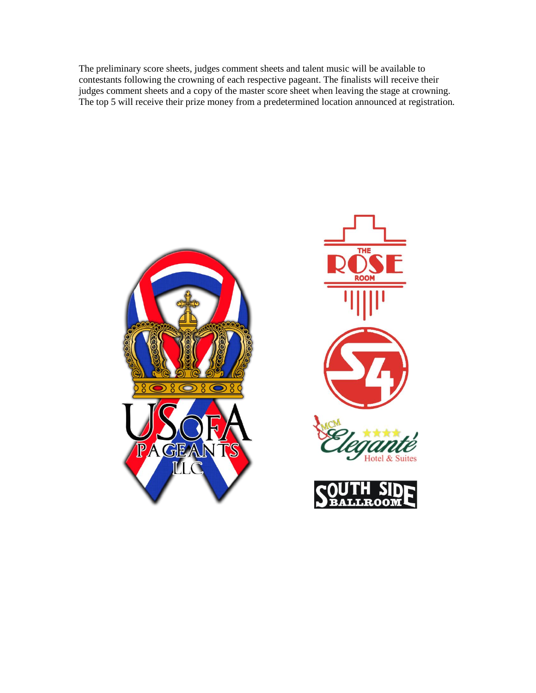The preliminary score sheets, judges comment sheets and talent music will be available to contestants following the crowning of each respective pageant. The finalists will receive their judges comment sheets and a copy of the master score sheet when leaving the stage at crowning. The top 5 will receive their prize money from a predetermined location announced at registration.





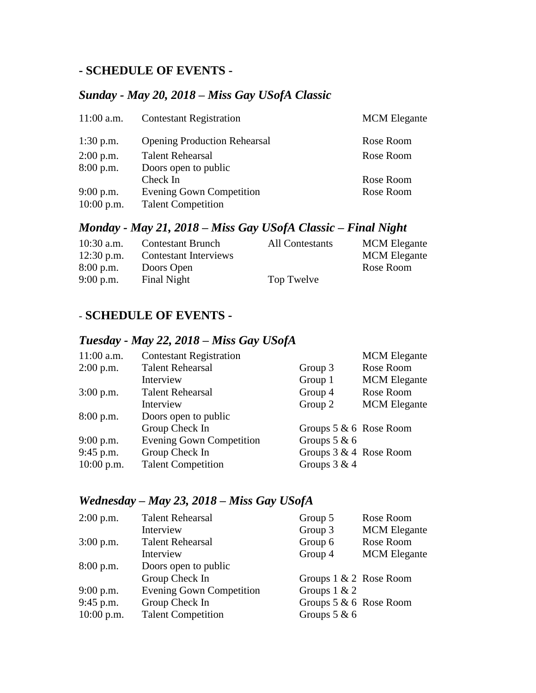## **- SCHEDULE OF EVENTS -**

## *Sunday - May 20, 2018 – Miss Gay USofA Classic*

| <b>Contestant Registration</b>                               | <b>MCM</b> Elegante |
|--------------------------------------------------------------|---------------------|
| <b>Opening Production Rehearsal</b>                          | Rose Room           |
| <b>Talent Rehearsal</b>                                      | Rose Room           |
| Doors open to public                                         |                     |
| Check In                                                     | Rose Room           |
| <b>Evening Gown Competition</b><br><b>Talent Competition</b> | Rose Room           |
|                                                              |                     |

## *Monday - May 21, 2018 – Miss Gay USofA Classic – Final Night*

| $10:30$ a.m. | <b>Contestant Brunch</b> | All Contestants | <b>MCM</b> Elegante |
|--------------|--------------------------|-----------------|---------------------|
| $12:30$ p.m. | Contestant Interviews    |                 | <b>MCM</b> Elegante |
| $8:00$ p.m.  | Doors Open               |                 | Rose Room           |
| $9:00$ p.m.  | Final Night              | Top Twelve      |                     |

## - **SCHEDULE OF EVENTS -**

## *Tuesday - May 22, 2018 – Miss Gay USofA*

| $11:00$ a.m. | <b>Contestant Registration</b>  |                          | <b>MCM</b> Elegante |
|--------------|---------------------------------|--------------------------|---------------------|
| $2:00$ p.m.  | <b>Talent Rehearsal</b>         | Group 3                  | Rose Room           |
|              | Interview                       | Group 1                  | <b>MCM</b> Elegante |
| $3:00$ p.m.  | <b>Talent Rehearsal</b>         | Group 4                  | Rose Room           |
|              | Interview                       | Group 2                  | <b>MCM</b> Elegante |
| 8:00 p.m.    | Doors open to public            |                          |                     |
|              | Group Check In                  | Groups $5 & 6$ Rose Room |                     |
| $9:00$ p.m.  | <b>Evening Gown Competition</b> | Groups $5 & 6$           |                     |
| $9:45$ p.m.  | Group Check In                  | Groups $3 & 4$ Rose Room |                     |
| $10:00$ p.m. | <b>Talent Competition</b>       | Groups $3 & 4$           |                     |

## *Wednesday – May 23, 2018 – Miss Gay USofA*

| $2:00$ p.m.  | <b>Talent Rehearsal</b>         | Group 5                   | Rose Room           |
|--------------|---------------------------------|---------------------------|---------------------|
|              | Interview                       | Group 3                   | <b>MCM</b> Elegante |
| $3:00$ p.m.  | <b>Talent Rehearsal</b>         | Group 6                   | Rose Room           |
|              | Interview                       | Group 4                   | <b>MCM</b> Elegante |
| $8:00$ p.m.  | Doors open to public            |                           |                     |
|              | Group Check In                  | Groups $1 \& 2$ Rose Room |                     |
| 9:00 p.m.    | <b>Evening Gown Competition</b> | Groups $1 & 2$            |                     |
| 9:45 p.m.    | Group Check In                  | Groups $5 & 6$ Rose Room  |                     |
| $10:00$ p.m. | <b>Talent Competition</b>       | Groups $5 & 6$            |                     |
|              |                                 |                           |                     |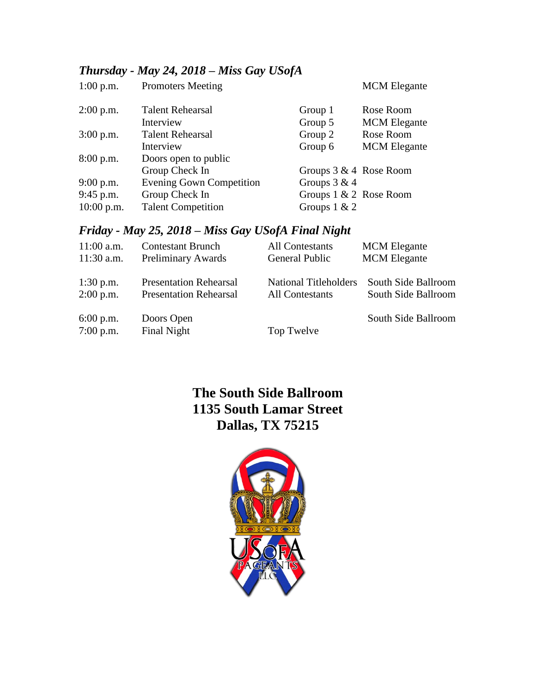# *Thursday - May 24, 2018 – Miss Gay USofA*

| $1:00$ p.m.  | <b>Promoters Meeting</b>        |                           | <b>MCM</b> Elegante |
|--------------|---------------------------------|---------------------------|---------------------|
| $2:00$ p.m.  | <b>Talent Rehearsal</b>         | Group 1                   | Rose Room           |
|              | Interview                       | Group 5                   | <b>MCM</b> Elegante |
| $3:00$ p.m.  | <b>Talent Rehearsal</b>         | Group 2                   | Rose Room           |
|              | Interview                       | Group 6                   | <b>MCM</b> Elegante |
| $8:00$ p.m.  | Doors open to public            |                           |                     |
|              | Group Check In                  | Groups $3 & 4$ Rose Room  |                     |
| $9:00$ p.m.  | <b>Evening Gown Competition</b> | Groups $3 & 4$            |                     |
| $9:45$ p.m.  | Group Check In                  | Groups $1 \& 2$ Rose Room |                     |
| $10:00$ p.m. | <b>Talent Competition</b>       | Groups $1 & 2$            |                     |

# *Friday - May 25, 2018 – Miss Gay USofA Final Night*

| $11:00$ a.m.               | <b>Contestant Brunch</b>                                       | <b>All Contestants</b>                                 | <b>MCM</b> Elegante                        |
|----------------------------|----------------------------------------------------------------|--------------------------------------------------------|--------------------------------------------|
| $11:30$ a.m.               | Preliminary Awards                                             | General Public                                         | <b>MCM</b> Elegante                        |
| $1:30$ p.m.<br>$2:00$ p.m. | <b>Presentation Rehearsal</b><br><b>Presentation Rehearsal</b> | <b>National Titleholders</b><br><b>All Contestants</b> | South Side Ballroom<br>South Side Ballroom |
| $6:00$ p.m.<br>$7:00$ p.m. | Doors Open<br>Final Night                                      | Top Twelve                                             | South Side Ballroom                        |

# **The South Side Ballroom 1135 South Lamar Street Dallas, TX 75215**

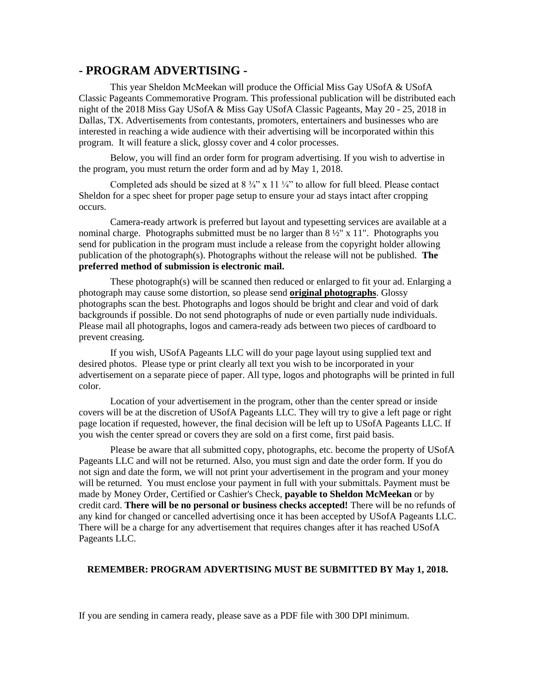### **- PROGRAM ADVERTISING -**

This year Sheldon McMeekan will produce the Official Miss Gay USofA & USofA Classic Pageants Commemorative Program. This professional publication will be distributed each night of the 2018 Miss Gay USofA & Miss Gay USofA Classic Pageants, May 20 - 25, 2018 in Dallas, TX. Advertisements from contestants, promoters, entertainers and businesses who are interested in reaching a wide audience with their advertising will be incorporated within this program. It will feature a slick, glossy cover and 4 color processes.

Below, you will find an order form for program advertising. If you wish to advertise in the program, you must return the order form and ad by May 1, 2018.

Completed ads should be sized at  $8\frac{3}{4}$ " x 11  $\frac{1}{4}$ " to allow for full bleed. Please contact Sheldon for a spec sheet for proper page setup to ensure your ad stays intact after cropping occurs.

Camera-ready artwork is preferred but layout and typesetting services are available at a nominal charge. Photographs submitted must be no larger than  $8\frac{1}{2}$ " x 11". Photographs you send for publication in the program must include a release from the copyright holder allowing publication of the photograph(s). Photographs without the release will not be published. **The preferred method of submission is electronic mail.**

These photograph(s) will be scanned then reduced or enlarged to fit your ad. Enlarging a photograph may cause some distortion, so please send **original photographs**. Glossy photographs scan the best. Photographs and logos should be bright and clear and void of dark backgrounds if possible. Do not send photographs of nude or even partially nude individuals. Please mail all photographs, logos and camera-ready ads between two pieces of cardboard to prevent creasing.

If you wish, USofA Pageants LLC will do your page layout using supplied text and desired photos. Please type or print clearly all text you wish to be incorporated in your advertisement on a separate piece of paper. All type, logos and photographs will be printed in full color.

Location of your advertisement in the program, other than the center spread or inside covers will be at the discretion of USofA Pageants LLC. They will try to give a left page or right page location if requested, however, the final decision will be left up to USofA Pageants LLC. If you wish the center spread or covers they are sold on a first come, first paid basis.

Please be aware that all submitted copy, photographs, etc. become the property of USofA Pageants LLC and will not be returned. Also, you must sign and date the order form. If you do not sign and date the form, we will not print your advertisement in the program and your money will be returned. You must enclose your payment in full with your submittals. Payment must be made by Money Order, Certified or Cashier's Check, **payable to Sheldon McMeekan** or by credit card. **There will be no personal or business checks accepted!** There will be no refunds of any kind for changed or cancelled advertising once it has been accepted by USofA Pageants LLC. There will be a charge for any advertisement that requires changes after it has reached USofA Pageants LLC.

#### **REMEMBER: PROGRAM ADVERTISING MUST BE SUBMITTED BY May 1, 2018.**

If you are sending in camera ready, please save as a PDF file with 300 DPI minimum.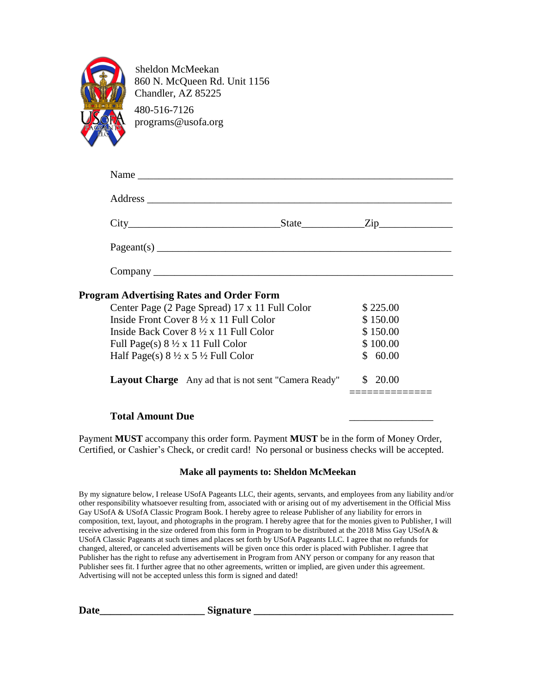

Sheldon McMeekan 860 N. McQueen Rd. Unit 1156 Chandler, AZ 85225 480-516-7126 programs@usofa.org

| $City$ $City$ $Step$ $Line$ $Zip$                          |                                                                     |          |
|------------------------------------------------------------|---------------------------------------------------------------------|----------|
| Pageant(s)                                                 |                                                                     |          |
|                                                            |                                                                     |          |
| <b>Program Advertising Rates and Order Form</b>            |                                                                     |          |
| Center Page (2 Page Spread) 17 x 11 Full Color             |                                                                     | \$225.00 |
| Inside Front Cover $8\frac{1}{2} \times 11$ Full Color     |                                                                     | \$150.00 |
| Inside Back Cover $8\frac{1}{2} \times 11$ Full Color      |                                                                     | \$150.00 |
| Full Page(s) $8\frac{1}{2} \times 11$ Full Color           |                                                                     | \$100.00 |
| Half Page(s) $8\frac{1}{2} \times 5\frac{1}{2}$ Full Color |                                                                     | \$60.00  |
|                                                            | <b>Layout Charge</b> Any ad that is not sent "Camera Ready" \$20.00 |          |

Payment **MUST** accompany this order form. Payment **MUST** be in the form of Money Order, Certified, or Cashier's Check, or credit card! No personal or business checks will be accepted.

### **Make all payments to: Sheldon McMeekan**

By my signature below, I release USofA Pageants LLC, their agents, servants, and employees from any liability and/or other responsibility whatsoever resulting from, associated with or arising out of my advertisement in the Official Miss Gay USofA & USofA Classic Program Book. I hereby agree to release Publisher of any liability for errors in composition, text, layout, and photographs in the program. I hereby agree that for the monies given to Publisher, I will receive advertising in the size ordered from this form in Program to be distributed at the 2018 Miss Gay USofA & USofA Classic Pageants at such times and places set forth by USofA Pageants LLC. I agree that no refunds for changed, altered, or canceled advertisements will be given once this order is placed with Publisher. I agree that Publisher has the right to refuse any advertisement in Program from ANY person or company for any reason that Publisher sees fit. I further agree that no other agreements, written or implied, are given under this agreement. Advertising will not be accepted unless this form is signed and dated!

**Date\_\_\_\_\_\_\_\_\_\_\_\_\_\_\_\_\_\_\_\_ Signature \_\_\_\_\_\_\_\_\_\_\_\_\_\_\_\_\_\_\_\_\_\_\_\_\_\_\_\_\_\_\_\_\_\_\_\_\_\_**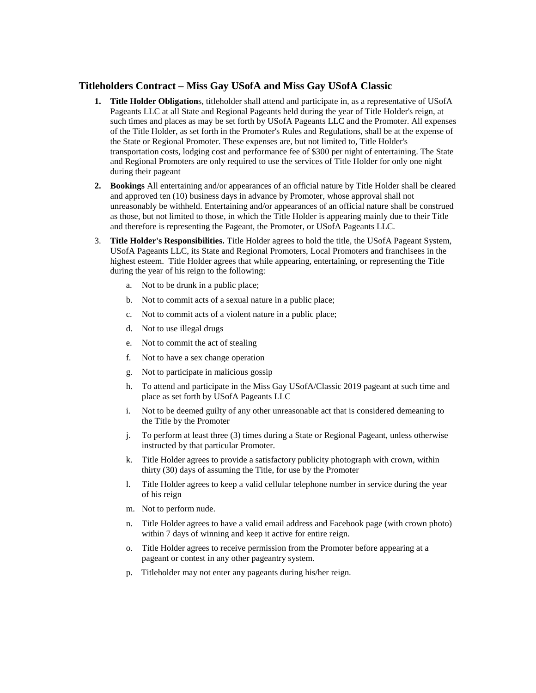#### **Titleholders Contract – Miss Gay USofA and Miss Gay USofA Classic**

- **1. Title Holder Obligation**s, titleholder shall attend and participate in, as a representative of USofA Pageants LLC at all State and Regional Pageants held during the year of Title Holder's reign, at such times and places as may be set forth by USofA Pageants LLC and the Promoter. All expenses of the Title Holder, as set forth in the Promoter's Rules and Regulations, shall be at the expense of the State or Regional Promoter. These expenses are, but not limited to, Title Holder's transportation costs, lodging cost and performance fee of \$300 per night of entertaining. The State and Regional Promoters are only required to use the services of Title Holder for only one night during their pageant
- **2. Bookings** All entertaining and/or appearances of an official nature by Title Holder shall be cleared and approved ten (10) business days in advance by Promoter, whose approval shall not unreasonably be withheld. Entertaining and/or appearances of an official nature shall be construed as those, but not limited to those, in which the Title Holder is appearing mainly due to their Title and therefore is representing the Pageant, the Promoter, or USofA Pageants LLC.
- 3. **Title Holder's Responsibilities.** Title Holder agrees to hold the title, the USofA Pageant System, USofA Pageants LLC, its State and Regional Promoters, Local Promoters and franchisees in the highest esteem. Title Holder agrees that while appearing, entertaining, or representing the Title during the year of his reign to the following:
	- a. Not to be drunk in a public place;
	- b. Not to commit acts of a sexual nature in a public place;
	- c. Not to commit acts of a violent nature in a public place;
	- d. Not to use illegal drugs
	- e. Not to commit the act of stealing
	- f. Not to have a sex change operation
	- g. Not to participate in malicious gossip
	- h. To attend and participate in the Miss Gay USofA/Classic 2019 pageant at such time and place as set forth by USofA Pageants LLC
	- i. Not to be deemed guilty of any other unreasonable act that is considered demeaning to the Title by the Promoter
	- j. To perform at least three (3) times during a State or Regional Pageant, unless otherwise instructed by that particular Promoter.
	- k. Title Holder agrees to provide a satisfactory publicity photograph with crown, within thirty (30) days of assuming the Title, for use by the Promoter
	- l. Title Holder agrees to keep a valid cellular telephone number in service during the year of his reign
	- m. Not to perform nude.
	- n. Title Holder agrees to have a valid email address and Facebook page (with crown photo) within 7 days of winning and keep it active for entire reign.
	- o. Title Holder agrees to receive permission from the Promoter before appearing at a pageant or contest in any other pageantry system.
	- p. Titleholder may not enter any pageants during his/her reign.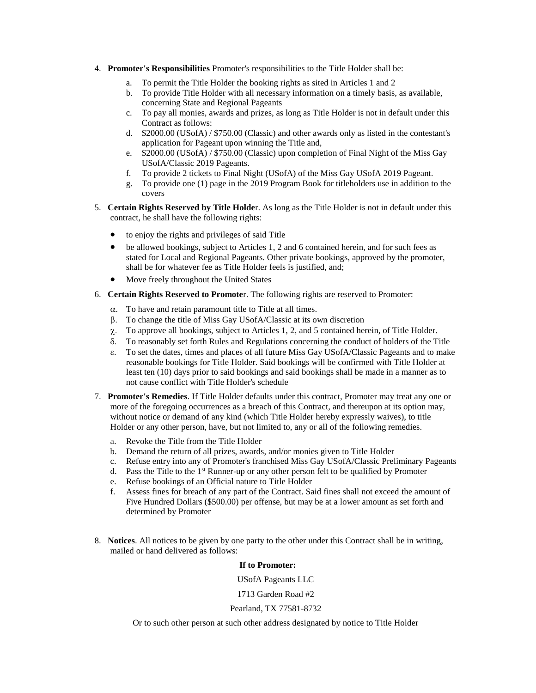- 4. **Promoter's Responsibilities** Promoter's responsibilities to the Title Holder shall be:
	- a. To permit the Title Holder the booking rights as sited in Articles 1 and 2
	- b. To provide Title Holder with all necessary information on a timely basis, as available, concerning State and Regional Pageants
	- c. To pay all monies, awards and prizes, as long as Title Holder is not in default under this Contract as follows:
	- d. \$2000.00 (USofA) / \$750.00 (Classic) and other awards only as listed in the contestant's application for Pageant upon winning the Title and,
	- e. \$2000.00 (USofA) / \$750.00 (Classic) upon completion of Final Night of the Miss Gay USofA/Classic 2019 Pageants.
	- f. To provide 2 tickets to Final Night (USofA) of the Miss Gay USofA 2019 Pageant.
	- g. To provide one (1) page in the 2019 Program Book for titleholders use in addition to the covers
- 5. **Certain Rights Reserved by Title Holde**r. As long as the Title Holder is not in default under this contract, he shall have the following rights:
	- to enjoy the rights and privileges of said Title
	- be allowed bookings, subject to Articles 1, 2 and 6 contained herein, and for such fees as stated for Local and Regional Pageants. Other private bookings, approved by the promoter, shall be for whatever fee as Title Holder feels is justified, and;
	- Move freely throughout the United States
- 6. **Certain Rights Reserved to Promote**r. The following rights are reserved to Promoter:
	- $\alpha$ . To have and retain paramount title to Title at all times.
	- To change the title of Miss Gay USofA/Classic at its own discretion
	- $\chi$ . To approve all bookings, subject to Articles 1, 2, and 5 contained herein, of Title Holder.
	- To reasonably set forth Rules and Regulations concerning the conduct of holders of the Title
	- To set the dates, times and places of all future Miss Gay USofA/Classic Pageants and to make reasonable bookings for Title Holder. Said bookings will be confirmed with Title Holder at least ten (10) days prior to said bookings and said bookings shall be made in a manner as to not cause conflict with Title Holder's schedule
- 7. **Promoter's Remedies**. If Title Holder defaults under this contract, Promoter may treat any one or more of the foregoing occurrences as a breach of this Contract, and thereupon at its option may, without notice or demand of any kind (which Title Holder hereby expressly waives), to title Holder or any other person, have, but not limited to, any or all of the following remedies.
	- a. Revoke the Title from the Title Holder
	- b. Demand the return of all prizes, awards, and/or monies given to Title Holder
	- c. Refuse entry into any of Promoter's franchised Miss Gay USofA/Classic Preliminary Pageants
	- d. Pass the Title to the 1<sup>st</sup> Runner-up or any other person felt to be qualified by Promoter
	- e. Refuse bookings of an Official nature to Title Holder
	- f. Assess fines for breach of any part of the Contract. Said fines shall not exceed the amount of Five Hundred Dollars (\$500.00) per offense, but may be at a lower amount as set forth and determined by Promoter
- 8. **Notices**. All notices to be given by one party to the other under this Contract shall be in writing, mailed or hand delivered as follows:

**If to Promoter:**

USofA Pageants LLC

1713 Garden Road #2

#### Pearland, TX 77581-8732

Or to such other person at such other address designated by notice to Title Holder